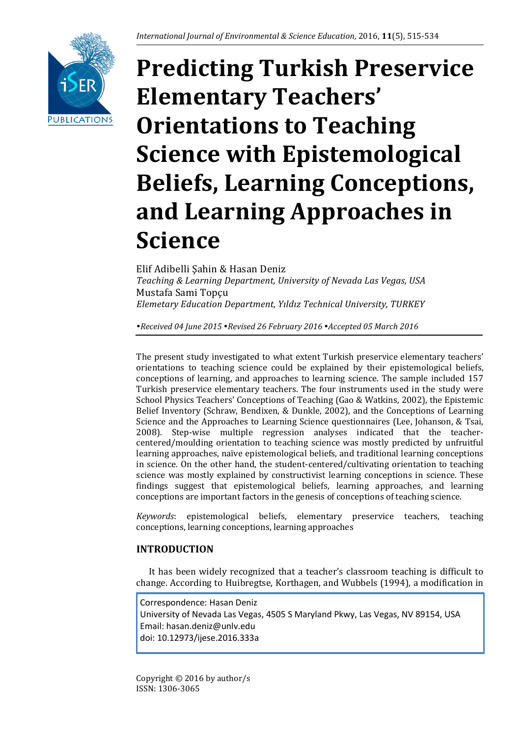

# **Predicting Turkish Preservice Elementary Teachers' Orientations to Teaching Science with Epistemological Beliefs, Learning Conceptions, and Learning Approaches in Science**

Elif Adibelli Şahin & Hasan Deniz *Teaching & Learning Department, University of Nevada Las Vegas, USA* Mustafa Sami Topçu *Elemetary Education Department, Yıldız Technical University, TURKEY*

*Received 04 June 2015 Revised 26 February 2016 Accepted 05 March 2016*

The present study investigated to what extent Turkish preservice elementary teachers' orientations to teaching science could be explained by their epistemological beliefs, conceptions of learning, and approaches to learning science. The sample included 157 Turkish preservice elementary teachers. The four instruments used in the study were School Physics Teachers' Conceptions of Teaching (Gao & Watkins, 2002), the Epistemic Belief Inventory (Schraw, Bendixen, & Dunkle, 2002), and the Conceptions of Learning Science and the Approaches to Learning Science questionnaires (Lee, Johanson, & Tsai, 2008). Step-wise multiple regression analyses indicated that the teachercentered/moulding orientation to teaching science was mostly predicted by unfruitful learning approaches, naïve epistemological beliefs, and traditional learning conceptions in science. On the other hand, the student-centered/cultivating orientation to teaching science was mostly explained by constructivist learning conceptions in science. These findings suggest that epistemological beliefs, learning approaches, and learning conceptions are important factors in the genesis of conceptions of teaching science.

*Keywords*: epistemological beliefs, elementary preservice teachers, teaching conceptions, learning conceptions, learning approaches

# **INTRODUCTION**

It has been widely recognized that a teacher's classroom teaching is difficult to change. According to Huibregtse, Korthagen, and Wubbels (1994), a modification in

Correspondence: Hasan Deniz University of Nevada Las Vegas, 4505 S Maryland Pkwy, Las Vegas, NV 89154, USA Email: hasan.deniz@unlv.edu doi: 10.12973/ijese.2016.333a

Copyright © 2016 by author/s ISSN: 1306-3065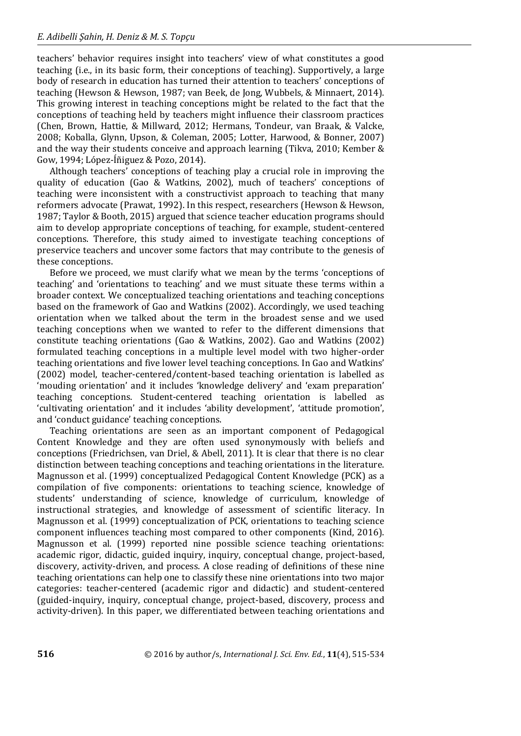teachers' behavior requires insight into teachers' view of what constitutes a good teaching (i.e., in its basic form, their conceptions of teaching). Supportively, a large body of research in education has turned their attention to teachers' conceptions of teaching (Hewson & Hewson, 1987; van Beek, de Jong, Wubbels, & Minnaert, 2014). This growing interest in teaching conceptions might be related to the fact that the conceptions of teaching held by teachers might influence their classroom practices (Chen, Brown, Hattie, & Millward, 2012; Hermans, Tondeur, van Braak, & Valcke, 2008; Koballa, Glynn, Upson, & Coleman, 2005; Lotter, Harwood, & Bonner, 2007) and the way their students conceive and approach learning (Tikva, 2010; Kember & Gow, 1994; López‐Íñiguez & Pozo, 2014).

Although teachers' conceptions of teaching play a crucial role in improving the quality of education (Gao & Watkins, 2002), much of teachers' conceptions of teaching were inconsistent with a constructivist approach to teaching that many reformers advocate (Prawat, 1992). In this respect, researchers (Hewson & Hewson, 1987; Taylor & Booth, 2015) argued that science teacher education programs should aim to develop appropriate conceptions of teaching, for example, student-centered conceptions. Therefore, this study aimed to investigate teaching conceptions of preservice teachers and uncover some factors that may contribute to the genesis of these conceptions.

Before we proceed, we must clarify what we mean by the terms 'conceptions of teaching' and 'orientations to teaching' and we must situate these terms within a broader context. We conceptualized teaching orientations and teaching conceptions based on the framework of Gao and Watkins (2002). Accordingly, we used teaching orientation when we talked about the term in the broadest sense and we used teaching conceptions when we wanted to refer to the different dimensions that constitute teaching orientations (Gao & Watkins, 2002). Gao and Watkins (2002) formulated teaching conceptions in a multiple level model with two higher-order teaching orientations and five lower level teaching conceptions. In Gao and Watkins' (2002) model, teacher-centered/content-based teaching orientation is labelled as 'mouding orientation' and it includes 'knowledge delivery' and 'exam preparation' teaching conceptions. Student-centered teaching orientation is labelled as 'cultivating orientation' and it includes 'ability development', 'attitude promotion', and 'conduct guidance' teaching conceptions.

Teaching orientations are seen as an important component of Pedagogical Content Knowledge and they are often used synonymously with beliefs and conceptions (Friedrichsen, van Driel, & Abell, 2011). It is clear that there is no clear distinction between teaching conceptions and teaching orientations in the literature. Magnusson et al. (1999) conceptualized Pedagogical Content Knowledge (PCK) as a compilation of five components: orientations to teaching science, knowledge of students' understanding of science, knowledge of curriculum, knowledge of instructional strategies, and knowledge of assessment of scientific literacy. In Magnusson et al. (1999) conceptualization of PCK, orientations to teaching science component influences teaching most compared to other components (Kind, 2016). Magnusson et al. (1999) reported nine possible science teaching orientations: academic rigor, didactic, guided inquiry, inquiry, conceptual change, project-based, discovery, activity-driven, and process. A close reading of definitions of these nine teaching orientations can help one to classify these nine orientations into two major categories: teacher-centered (academic rigor and didactic) and student-centered (guided-inquiry, inquiry, conceptual change, project-based, discovery, process and activity-driven). In this paper, we differentiated between teaching orientations and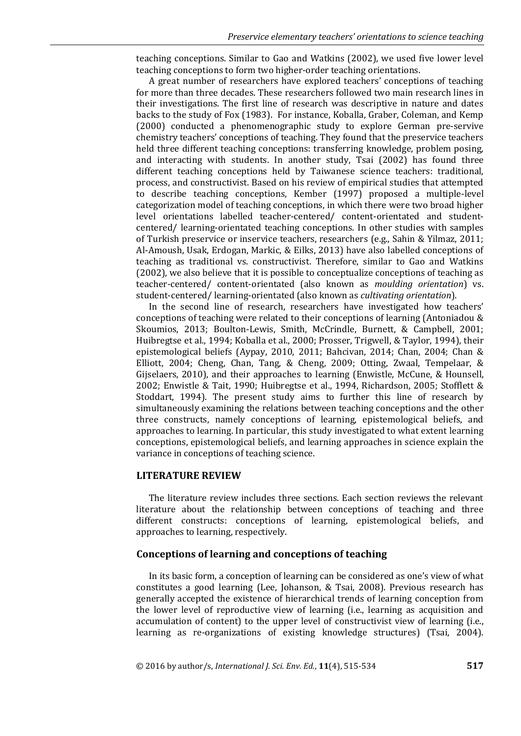teaching conceptions. Similar to Gao and Watkins (2002), we used five lower level teaching conceptions to form two higher-order teaching orientations.

A great number of researchers have explored teachers' conceptions of teaching for more than three decades. These researchers followed two main research lines in their investigations. The first line of research was descriptive in nature and dates backs to the study of Fox (1983). For instance, Koballa, Graber, Coleman, and Kemp (2000) conducted a phenomenographic study to explore German pre-servive chemistry teachers' conceptions of teaching. They found that the preservice teachers held three different teaching conceptions: transferring knowledge, problem posing, and interacting with students. In another study, Tsai (2002) has found three different teaching conceptions held by Taiwanese science teachers: traditional, process, and constructivist. Based on his review of empirical studies that attempted to describe teaching conceptions, Kember (1997) proposed a multiple-level categorization model of teaching conceptions, in which there were two broad higher level orientations labelled teacher-centered/ content-orientated and studentcentered/ learning-orientated teaching conceptions. In other studies with samples of Turkish preservice or inservice teachers, researchers (e.g., Sahin & Yilmaz, 2011; Al-Amoush, Usak, Erdogan, Markic, & Eilks, 2013) have also labelled conceptions of teaching as traditional vs. constructivist. Therefore, similar to Gao and Watkins (2002), we also believe that it is possible to conceptualize conceptions of teaching as teacher-centered/ content-orientated (also known as *moulding orientation*) vs. student-centered/ learning-orientated (also known as *cultivating orientation*).

In the second line of research, researchers have investigated how teachers' conceptions of teaching were related to their conceptions of learning (Antoniadou & Skoumios, 2013; Boulton-Lewis, Smith, McCrindle, Burnett, & Campbell, 2001; Huibregtse et al., 1994; Koballa et al., 2000; Prosser, Trigwell, & Taylor, 1994), their epistemological beliefs (Aypay, 2010, 2011; Bahcivan, 2014; Chan, 2004; Chan & Elliott, 2004; Cheng, Chan, Tang, & Cheng, 2009; Otting, Zwaal, Tempelaar, & Gijselaers, 2010), and their approaches to learning (Enwistle, McCune, & Hounsell, 2002; Enwistle & Tait, 1990; Huibregtse et al., 1994, Richardson, 2005; Stofflett & Stoddart, 1994). The present study aims to further this line of research by simultaneously examining the relations between teaching conceptions and the other three constructs, namely conceptions of learning, epistemological beliefs, and approaches to learning. In particular, this study investigated to what extent learning conceptions, epistemological beliefs, and learning approaches in science explain the variance in conceptions of teaching science.

## **LITERATURE REVIEW**

The literature review includes three sections. Each section reviews the relevant literature about the relationship between conceptions of teaching and three different constructs: conceptions of learning, epistemological beliefs, and approaches to learning, respectively.

## **Conceptions of learning and conceptions of teaching**

In its basic form, a conception of learning can be considered as one's view of what constitutes a good learning (Lee, Johanson, & Tsai, 2008). Previous research has generally accepted the existence of hierarchical trends of learning conception from the lower level of reproductive view of learning (i.e., learning as acquisition and accumulation of content) to the upper level of constructivist view of learning (i.e., learning as re-organizations of existing knowledge structures) (Tsai, 2004).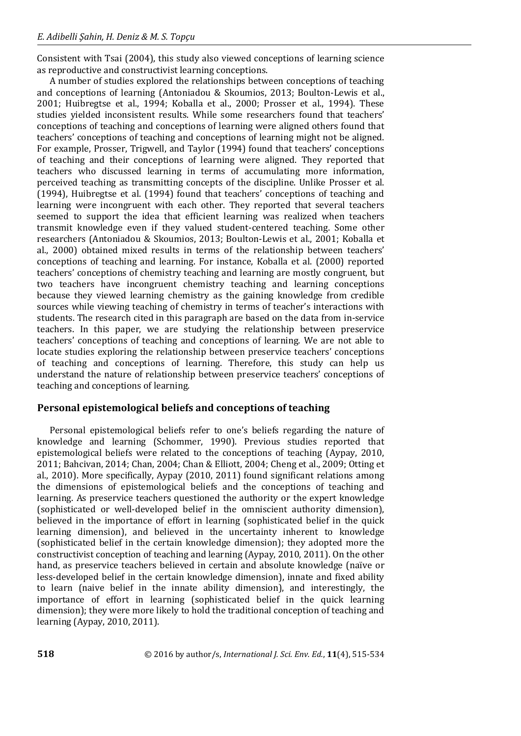Consistent with Tsai (2004), this study also viewed conceptions of learning science as reproductive and constructivist learning conceptions.

A number of studies explored the relationships between conceptions of teaching and conceptions of learning (Antoniadou & Skoumios, 2013; Boulton-Lewis et al., 2001; Huibregtse et al., 1994; Koballa et al., 2000; Prosser et al., 1994). These studies yielded inconsistent results. While some researchers found that teachers' conceptions of teaching and conceptions of learning were aligned others found that teachers' conceptions of teaching and conceptions of learning might not be aligned. For example, Prosser, Trigwell, and Taylor (1994) found that teachers' conceptions of teaching and their conceptions of learning were aligned. They reported that teachers who discussed learning in terms of accumulating more information, perceived teaching as transmitting concepts of the discipline. Unlike Prosser et al. (1994), Huibregtse et al. (1994) found that teachers' conceptions of teaching and learning were incongruent with each other. They reported that several teachers seemed to support the idea that efficient learning was realized when teachers transmit knowledge even if they valued student-centered teaching. Some other researchers (Antoniadou & Skoumios, 2013; Boulton-Lewis et al., 2001; Koballa et al., 2000) obtained mixed results in terms of the relationship between teachers' conceptions of teaching and learning. For instance, Koballa et al. (2000) reported teachers' conceptions of chemistry teaching and learning are mostly congruent, but two teachers have incongruent chemistry teaching and learning conceptions because they viewed learning chemistry as the gaining knowledge from credible sources while viewing teaching of chemistry in terms of teacher's interactions with students. The research cited in this paragraph are based on the data from in-service teachers. In this paper, we are studying the relationship between preservice teachers' conceptions of teaching and conceptions of learning. We are not able to locate studies exploring the relationship between preservice teachers' conceptions of teaching and conceptions of learning. Therefore, this study can help us understand the nature of relationship between preservice teachers' conceptions of teaching and conceptions of learning.

# **Personal epistemological beliefs and conceptions of teaching**

Personal epistemological beliefs refer to one's beliefs regarding the nature of knowledge and learning (Schommer, 1990). Previous studies reported that epistemological beliefs were related to the conceptions of teaching (Aypay, 2010, 2011; Bahcivan, 2014; Chan, 2004; Chan & Elliott, 2004; Cheng et al., 2009; Otting et al., 2010). More specifically, Aypay (2010, 2011) found significant relations among the dimensions of epistemological beliefs and the conceptions of teaching and learning. As preservice teachers questioned the authority or the expert knowledge (sophisticated or well-developed belief in the omniscient authority dimension), believed in the importance of effort in learning (sophisticated belief in the quick learning dimension), and believed in the uncertainty inherent to knowledge (sophisticated belief in the certain knowledge dimension); they adopted more the constructivist conception of teaching and learning (Aypay, 2010, 2011). On the other hand, as preservice teachers believed in certain and absolute knowledge (naïve or less-developed belief in the certain knowledge dimension), innate and fixed ability to learn (naive belief in the innate ability dimension), and interestingly, the importance of effort in learning (sophisticated belief in the quick learning dimension); they were more likely to hold the traditional conception of teaching and learning (Aypay, 2010, 2011).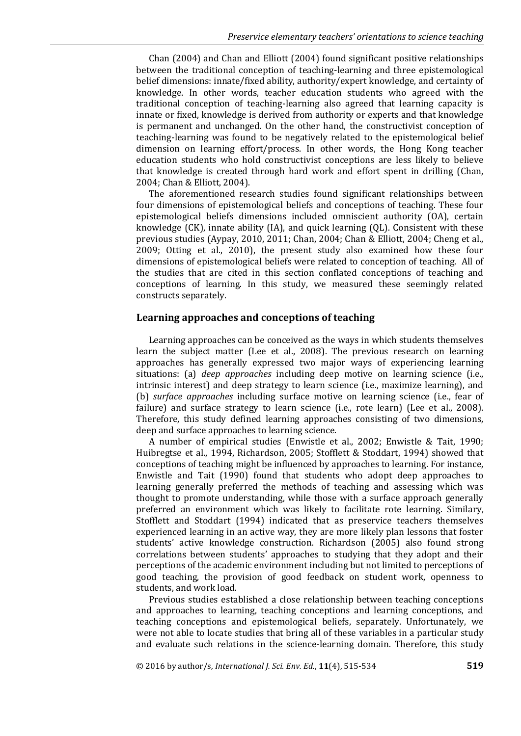Chan (2004) and Chan and Elliott (2004) found significant positive relationships between the traditional conception of teaching-learning and three epistemological belief dimensions: innate/fixed ability, authority/expert knowledge, and certainty of knowledge. In other words, teacher education students who agreed with the traditional conception of teaching-learning also agreed that learning capacity is innate or fixed, knowledge is derived from authority or experts and that knowledge is permanent and unchanged. On the other hand, the constructivist conception of teaching-learning was found to be negatively related to the epistemological belief dimension on learning effort/process. In other words, the Hong Kong teacher education students who hold constructivist conceptions are less likely to believe that knowledge is created through hard work and effort spent in drilling (Chan, 2004; Chan & Elliott, 2004).

The aforementioned research studies found significant relationships between four dimensions of epistemological beliefs and conceptions of teaching. These four epistemological beliefs dimensions included omniscient authority (OA), certain knowledge (CK), innate ability (IA), and quick learning (QL). Consistent with these previous studies (Aypay, 2010, 2011; Chan, 2004; Chan & Elliott, 2004; Cheng et al., 2009; Otting et al., 2010), the present study also examined how these four dimensions of epistemological beliefs were related to conception of teaching. All of the studies that are cited in this section conflated conceptions of teaching and conceptions of learning. In this study, we measured these seemingly related constructs separately.

## **Learning approaches and conceptions of teaching**

Learning approaches can be conceived as the ways in which students themselves learn the subject matter (Lee et al., 2008). The previous research on learning approaches has generally expressed two major ways of experiencing learning situations: (a) *deep approaches* including deep motive on learning science (i.e., intrinsic interest) and deep strategy to learn science (i.e., maximize learning), and (b) *surface approaches* including surface motive on learning science (i.e., fear of failure) and surface strategy to learn science (i.e., rote learn) (Lee et al., 2008). Therefore, this study defined learning approaches consisting of two dimensions, deep and surface approaches to learning science.

A number of empirical studies (Enwistle et al., 2002; Enwistle & Tait, 1990; Huibregtse et al., 1994, Richardson, 2005; Stofflett & Stoddart, 1994) showed that conceptions of teaching might be influenced by approaches to learning. For instance, Enwistle and Tait (1990) found that students who adopt deep approaches to learning generally preferred the methods of teaching and assessing which was thought to promote understanding, while those with a surface approach generally preferred an environment which was likely to facilitate rote learning. Similary, Stofflett and Stoddart (1994) indicated that as preservice teachers themselves experienced learning in an active way, they are more likely plan lessons that foster students' active knowledge construction. Richardson (2005) also found strong correlations between students' approaches to studying that they adopt and their perceptions of the academic environment including but not limited to perceptions of good teaching, the provision of good feedback on student work, openness to students, and work load.

Previous studies established a close relationship between teaching conceptions and approaches to learning, teaching conceptions and learning conceptions, and teaching conceptions and epistemological beliefs, separately. Unfortunately, we were not able to locate studies that bring all of these variables in a particular study and evaluate such relations in the science-learning domain. Therefore, this study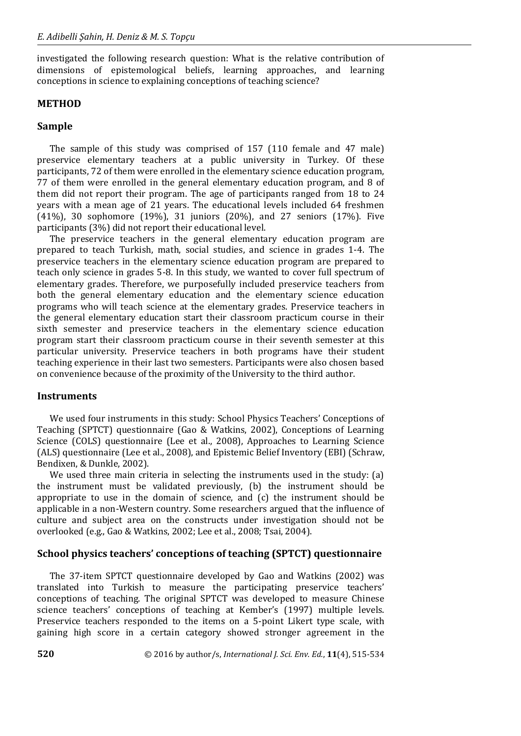investigated the following research question: What is the relative contribution of dimensions of epistemological beliefs, learning approaches, and learning conceptions in science to explaining conceptions of teaching science?

## **METHOD**

## **Sample**

The sample of this study was comprised of 157 (110 female and 47 male) preservice elementary teachers at a public university in Turkey. Of these participants, 72 of them were enrolled in the elementary science education program, 77 of them were enrolled in the general elementary education program, and 8 of them did not report their program. The age of participants ranged from 18 to 24 years with a mean age of 21 years. The educational levels included 64 freshmen (41%), 30 sophomore (19%), 31 juniors (20%), and 27 seniors (17%). Five participants (3%) did not report their educational level.

The preservice teachers in the general elementary education program are prepared to teach Turkish, math, social studies, and science in grades 1-4. The preservice teachers in the elementary science education program are prepared to teach only science in grades 5-8. In this study, we wanted to cover full spectrum of elementary grades. Therefore, we purposefully included preservice teachers from both the general elementary education and the elementary science education programs who will teach science at the elementary grades. Preservice teachers in the general elementary education start their classroom practicum course in their sixth semester and preservice teachers in the elementary science education program start their classroom practicum course in their seventh semester at this particular university. Preservice teachers in both programs have their student teaching experience in their last two semesters. Participants were also chosen based on convenience because of the proximity of the University to the third author.

## **Instruments**

We used four instruments in this study: School Physics Teachers' Conceptions of Teaching (SPTCT) questionnaire (Gao & Watkins, 2002), Conceptions of Learning Science (COLS) questionnaire (Lee et al., 2008), Approaches to Learning Science (ALS) questionnaire (Lee et al., 2008), and Epistemic Belief Inventory (EBI) (Schraw, Bendixen, & Dunkle, 2002).

We used three main criteria in selecting the instruments used in the study: (a) the instrument must be validated previously, (b) the instrument should be appropriate to use in the domain of science, and (c) the instrument should be applicable in a non-Western country. Some researchers argued that the influence of culture and subject area on the constructs under investigation should not be overlooked (e.g., Gao & Watkins, 2002; Lee et al., 2008; Tsai, 2004).

## **School physics teachers' conceptions of teaching (SPTCT) questionnaire**

The 37-item SPTCT questionnaire developed by Gao and Watkins (2002) was translated into Turkish to measure the participating preservice teachers' conceptions of teaching. The original SPTCT was developed to measure Chinese science teachers' conceptions of teaching at Kember's (1997) multiple levels. Preservice teachers responded to the items on a 5-point Likert type scale, with gaining high score in a certain category showed stronger agreement in the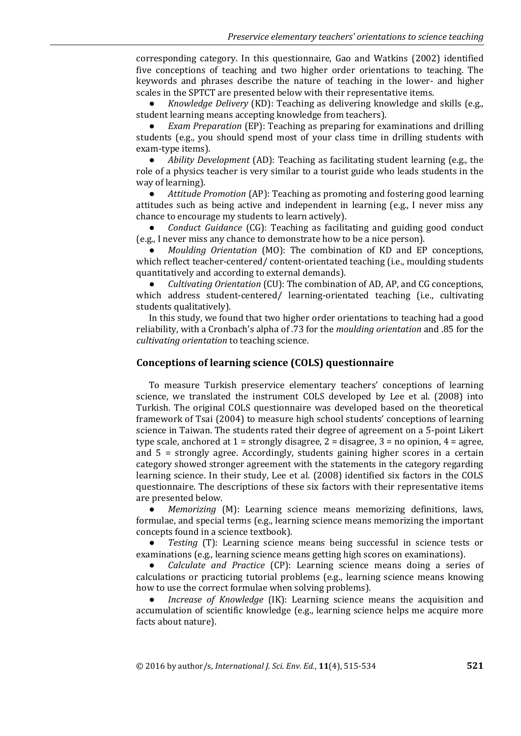corresponding category. In this questionnaire, Gao and Watkins (2002) identified five conceptions of teaching and two higher order orientations to teaching. The keywords and phrases describe the nature of teaching in the lower- and higher scales in the SPTCT are presented below with their representative items.

● *Knowledge Delivery* (KD): Teaching as delivering knowledge and skills (e.g., student learning means accepting knowledge from teachers).

*Exam Preparation* (EP): Teaching as preparing for examinations and drilling students (e.g., you should spend most of your class time in drilling students with exam-type items).

● *Ability Development* (AD): Teaching as facilitating student learning (e.g., the role of a physics teacher is very similar to a tourist guide who leads students in the way of learning).

● *Attitude Promotion* (AP): Teaching as promoting and fostering good learning attitudes such as being active and independent in learning (e.g., I never miss any chance to encourage my students to learn actively).

● *Conduct Guidance* (CG): Teaching as facilitating and guiding good conduct (e.g., I never miss any chance to demonstrate how to be a nice person).

● *Moulding Orientation* (MO): The combination of KD and EP conceptions, which reflect teacher-centered/ content-orientated teaching (i.e., moulding students quantitatively and according to external demands).

● *Cultivating Orientation* (CU): The combination of AD, AP, and CG conceptions, which address student-centered/ learning-orientated teaching (i.e., cultivating students qualitatively).

In this study, we found that two higher order orientations to teaching had a good reliability, with a Cronbach's alpha of .73 for the *moulding orientation* and .85 for the *cultivating orientation* to teaching science.

## **Conceptions of learning science (COLS) questionnaire**

To measure Turkish preservice elementary teachers' conceptions of learning science, we translated the instrument COLS developed by Lee et al. (2008) into Turkish. The original COLS questionnaire was developed based on the theoretical framework of Tsai (2004) to measure high school students' conceptions of learning science in Taiwan. The students rated their degree of agreement on a 5-point Likert type scale, anchored at  $1 =$  strongly disagree,  $2 =$  disagree,  $3 =$  no opinion,  $4 =$  agree, and 5 = strongly agree. Accordingly, students gaining higher scores in a certain category showed stronger agreement with the statements in the category regarding learning science. In their study, Lee et al. (2008) identified six factors in the COLS questionnaire. The descriptions of these six factors with their representative items are presented below.

*Memorizing* (M): Learning science means memorizing definitions, laws, formulae, and special terms (e.g., learning science means memorizing the important concepts found in a science textbook).

● *Testing* (T): Learning science means being successful in science tests or examinations (e.g., learning science means getting high scores on examinations).

● *Calculate and Practice* (CP): Learning science means doing a series of calculations or practicing tutorial problems (e.g., learning science means knowing how to use the correct formulae when solving problems).

*Increase of Knowledge* (IK): Learning science means the acquisition and accumulation of scientific knowledge (e.g., learning science helps me acquire more facts about nature).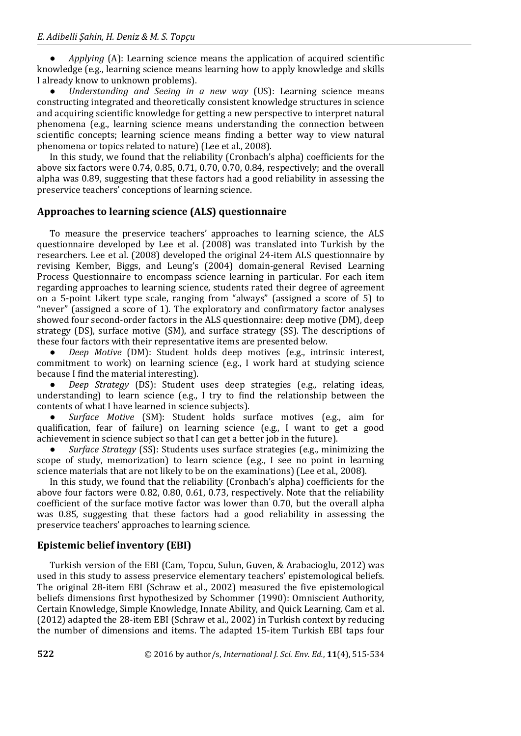● *Applying* (A): Learning science means the application of acquired scientific knowledge (e.g., learning science means learning how to apply knowledge and skills I already know to unknown problems).

● *Understanding and Seeing in a new way* (US): Learning science means constructing integrated and theoretically consistent knowledge structures in science and acquiring scientific knowledge for getting a new perspective to interpret natural phenomena (e.g., learning science means understanding the connection between scientific concepts; learning science means finding a better way to view natural phenomena or topics related to nature) (Lee et al., 2008).

In this study, we found that the reliability (Cronbach's alpha) coefficients for the above six factors were 0.74, 0.85, 0.71, 0.70, 0.70, 0.84, respectively; and the overall alpha was 0.89, suggesting that these factors had a good reliability in assessing the preservice teachers' conceptions of learning science.

## **Approaches to learning science (ALS) questionnaire**

To measure the preservice teachers' approaches to learning science, the ALS questionnaire developed by Lee et al. (2008) was translated into Turkish by the researchers. Lee et al. (2008) developed the original 24-item ALS questionnaire by revising Kember, Biggs, and Leung's (2004) domain-general Revised Learning Process Questionnaire to encompass science learning in particular. For each item regarding approaches to learning science, students rated their degree of agreement on a 5-point Likert type scale, ranging from "always" (assigned a score of 5) to "never" (assigned a score of 1). The exploratory and confirmatory factor analyses showed four second-order factors in the ALS questionnaire: deep motive (DM), deep strategy (DS), surface motive (SM), and surface strategy (SS). The descriptions of these four factors with their representative items are presented below.

● *Deep Motive* (DM): Student holds deep motives (e.g., intrinsic interest, commitment to work) on learning science (e.g., I work hard at studying science because I find the material interesting).

*Deep Strategy* (DS): Student uses deep strategies (e.g., relating ideas, understanding) to learn science (e.g., I try to find the relationship between the contents of what I have learned in science subjects).

● *Surface Motive* (SM): Student holds surface motives (e.g., aim for qualification, fear of failure) on learning science (e.g., I want to get a good achievement in science subject so that I can get a better job in the future).

● *Surface Strategy* (SS): Students uses surface strategies (e.g., minimizing the scope of study, memorization) to learn science (e.g., I see no point in learning science materials that are not likely to be on the examinations) (Lee et al., 2008).

In this study, we found that the reliability (Cronbach's alpha) coefficients for the above four factors were 0.82, 0.80, 0.61, 0.73, respectively. Note that the reliability coefficient of the surface motive factor was lower than 0.70, but the overall alpha was 0.85, suggesting that these factors had a good reliability in assessing the preservice teachers' approaches to learning science.

# **Epistemic belief inventory (EBI)**

Turkish version of the EBI (Cam, Topcu, Sulun, Guven, & Arabacioglu, 2012) was used in this study to assess preservice elementary teachers' epistemological beliefs. The original 28-item EBI (Schraw et al., 2002) measured the five epistemological beliefs dimensions first hypothesized by Schommer (1990): Omniscient Authority, Certain Knowledge, Simple Knowledge, Innate Ability, and Quick Learning. Cam et al. (2012) adapted the 28-item EBI (Schraw et al., 2002) in Turkish context by reducing the number of dimensions and items. The adapted 15-item Turkish EBI taps four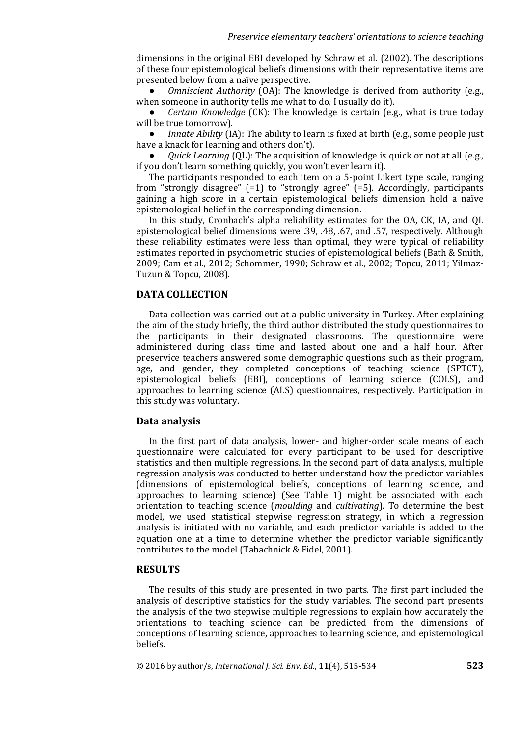dimensions in the original EBI developed by Schraw et al. (2002). The descriptions of these four epistemological beliefs dimensions with their representative items are presented below from a naïve perspective.

*Omniscient Authority* (OA): The knowledge is derived from authority (e.g., when someone in authority tells me what to do, I usually do it).

● *Certain Knowledge* (CK): The knowledge is certain (e.g., what is true today will be true tomorrow).

*Innate Ability* (IA): The ability to learn is fixed at birth (e.g., some people just have a knack for learning and others don't).

*Quick Learning* (QL): The acquisition of knowledge is quick or not at all (e.g., if you don't learn something quickly, you won't ever learn it).

The participants responded to each item on a 5-point Likert type scale, ranging from "strongly disagree"  $(=1)$  to "strongly agree"  $(=5)$ . Accordingly, participants gaining a high score in a certain epistemological beliefs dimension hold a naïve epistemological belief in the corresponding dimension.

In this study, Cronbach's alpha reliability estimates for the OA, CK, IA, and QL epistemological belief dimensions were .39, .48, .67, and .57, respectively. Although these reliability estimates were less than optimal, they were typical of reliability estimates reported in psychometric studies of epistemological beliefs (Bath & Smith, 2009; Cam et al., 2012; Schommer, 1990; Schraw et al., 2002; Topcu, 2011; Yilmaz-Tuzun & Topcu, 2008).

## **DATA COLLECTION**

Data collection was carried out at a public university in Turkey. After explaining the aim of the study briefly, the third author distributed the study questionnaires to the participants in their designated classrooms. The questionnaire were administered during class time and lasted about one and a half hour. After preservice teachers answered some demographic questions such as their program, age, and gender, they completed conceptions of teaching science (SPTCT), epistemological beliefs (EBI), conceptions of learning science (COLS), and approaches to learning science (ALS) questionnaires, respectively. Participation in this study was voluntary.

#### **Data analysis**

In the first part of data analysis, lower- and higher-order scale means of each questionnaire were calculated for every participant to be used for descriptive statistics and then multiple regressions. In the second part of data analysis, multiple regression analysis was conducted to better understand how the predictor variables (dimensions of epistemological beliefs, conceptions of learning science, and approaches to learning science) (See Table 1) might be associated with each orientation to teaching science (*moulding* and *cultivating*). To determine the best model, we used statistical stepwise regression strategy, in which a regression analysis is initiated with no variable, and each predictor variable is added to the equation one at a time to determine whether the predictor variable significantly contributes to the model (Tabachnick & Fidel, 2001).

#### **RESULTS**

The results of this study are presented in two parts. The first part included the analysis of descriptive statistics for the study variables. The second part presents the analysis of the two stepwise multiple regressions to explain how accurately the orientations to teaching science can be predicted from the dimensions of conceptions of learning science, approaches to learning science, and epistemological beliefs.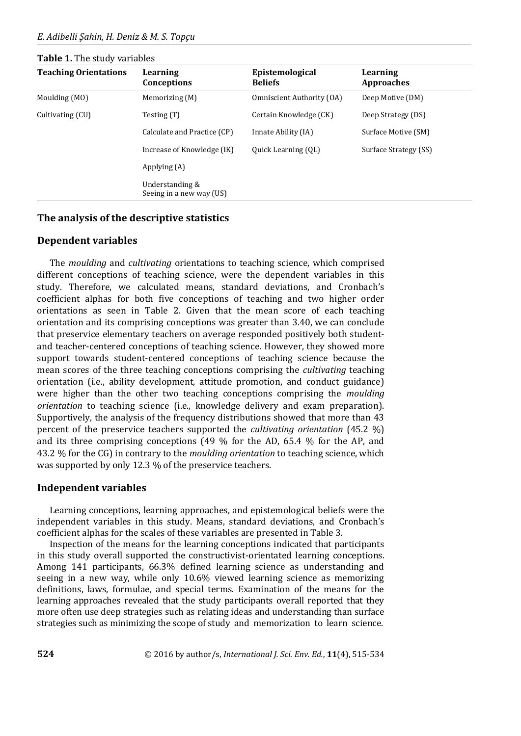## **Table 1.** The study variables

| <b>Teaching Orientations</b> | Learning<br>Conceptions                     | Epistemological<br><b>Beliefs</b> | Learning<br><b>Approaches</b> |
|------------------------------|---------------------------------------------|-----------------------------------|-------------------------------|
| Moulding (MO)                | Memorizing (M)                              | Omniscient Authority (OA)         | Deep Motive (DM)              |
| Cultivating (CU)             | Testing (T)                                 | Certain Knowledge (CK)            | Deep Strategy (DS)            |
|                              | Calculate and Practice (CP)                 | Innate Ability (IA)               | Surface Motive (SM)           |
|                              | Increase of Knowledge (IK)                  | Quick Learning (QL)               | Surface Strategy (SS)         |
|                              | Applying (A)                                |                                   |                               |
|                              | Understanding &<br>Seeing in a new way (US) |                                   |                               |

## **The analysis of the descriptive statistics**

## **Dependent variables**

The *moulding* and *cultivating* orientations to teaching science, which comprised different conceptions of teaching science, were the dependent variables in this study. Therefore, we calculated means, standard deviations, and Cronbach's coefficient alphas for both five conceptions of teaching and two higher order orientations as seen in Table 2. Given that the mean score of each teaching orientation and its comprising conceptions was greater than 3.40, we can conclude that preservice elementary teachers on average responded positively both studentand teacher-centered conceptions of teaching science. However, they showed more support towards student-centered conceptions of teaching science because the mean scores of the three teaching conceptions comprising the *cultivating* teaching orientation (i.e., ability development, attitude promotion, and conduct guidance) were higher than the other two teaching conceptions comprising the *moulding orientation* to teaching science (i.e., knowledge delivery and exam preparation). Supportively, the analysis of the frequency distributions showed that more than 43 percent of the preservice teachers supported the *cultivating orientation* (45.2 %) and its three comprising conceptions (49 % for the AD, 65.4 % for the AP, and 43.2 % for the CG) in contrary to the *moulding orientation* to teaching science, which was supported by only 12.3 % of the preservice teachers.

# **Independent variables**

Learning conceptions, learning approaches, and epistemological beliefs were the independent variables in this study. Means, standard deviations, and Cronbach's coefficient alphas for the scales of these variables are presented in Table 3.

Inspection of the means for the learning conceptions indicated that participants in this study overall supported the constructivist-orientated learning conceptions. Among 141 participants, 66.3% defined learning science as understanding and seeing in a new way, while only 10.6% viewed learning science as memorizing definitions, laws, formulae, and special terms. Examination of the means for the learning approaches revealed that the study participants overall reported that they more often use deep strategies such as relating ideas and understanding than surface strategies such as minimizing the scope of study and memorization to learn science.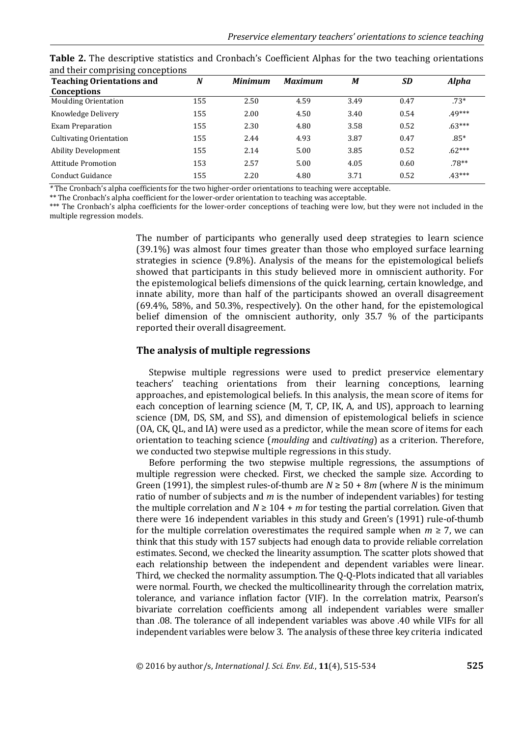| <b>Teaching Orientations and</b> | $\boldsymbol{N}$ | <b>Minimum</b> | <b>Maximum</b> | M    | <b>SD</b> | <b>Alpha</b> |
|----------------------------------|------------------|----------------|----------------|------|-----------|--------------|
| <b>Conceptions</b>               |                  |                |                |      |           |              |
| <b>Moulding Orientation</b>      | 155              | 2.50           | 4.59           | 3.49 | 0.47      | $.73*$       |
| Knowledge Delivery               | 155              | 2.00           | 4.50           | 3.40 | 0.54      | $.49***$     |
| <b>Exam Preparation</b>          | 155              | 2.30           | 4.80           | 3.58 | 0.52      | $.63***$     |
| <b>Cultivating Orientation</b>   | 155              | 2.44           | 4.93           | 3.87 | 0.47      | $.85*$       |
| <b>Ability Development</b>       | 155              | 2.14           | 5.00           | 3.85 | 0.52      | $.62***$     |
| Attitude Promotion               | 153              | 2.57           | 5.00           | 4.05 | 0.60      | $.78**$      |
| Conduct Guidance                 | 155              | 2.20           | 4.80           | 3.71 | 0.52      | $.43***$     |

**Table 2.** The descriptive statistics and Cronbach's Coefficient Alphas for the two teaching orientations and their comprising conceptions

*\** The Cronbach's alpha coefficients for the two higher-order orientations to teaching were acceptable.

\*\* The Cronbach's alpha coefficient for the lower-order orientation to teaching was acceptable.

\*\*\* The Cronbach's alpha coefficients for the lower-order conceptions of teaching were low, but they were not included in the multiple regression models.

> The number of participants who generally used deep strategies to learn science (39.1%) was almost four times greater than those who employed surface learning strategies in science (9.8%). Analysis of the means for the epistemological beliefs showed that participants in this study believed more in omniscient authority. For the epistemological beliefs dimensions of the quick learning, certain knowledge, and innate ability, more than half of the participants showed an overall disagreement (69.4%, 58%, and 50.3%, respectively). On the other hand, for the epistemological belief dimension of the omniscient authority, only 35.7 % of the participants reported their overall disagreement.

#### **The analysis of multiple regressions**

Stepwise multiple regressions were used to predict preservice elementary teachers' teaching orientations from their learning conceptions, learning approaches, and epistemological beliefs. In this analysis, the mean score of items for each conception of learning science (M, T, CP, IK, A, and US), approach to learning science (DM, DS, SM, and SS), and dimension of epistemological beliefs in science (OA, CK, QL, and IA) were used as a predictor, while the mean score of items for each orientation to teaching science (*moulding* and *cultivating*) as a criterion. Therefore, we conducted two stepwise multiple regressions in this study.

Before performing the two stepwise multiple regressions, the assumptions of multiple regression were checked. First, we checked the sample size. According to Green (1991), the simplest rules-of-thumb are  $N \ge 50 + 8m$  (where *N* is the minimum ratio of number of subjects and *m* is the number of independent variables) for testing the multiple correlation and  $N \ge 104 + m$  for testing the partial correlation. Given that there were 16 independent variables in this study and Green's (1991) rule-of-thumb for the multiple correlation overestimates the required sample when  $m \geq 7$ , we can think that this study with 157 subjects had enough data to provide reliable correlation estimates. Second, we checked the linearity assumption. The scatter plots showed that each relationship between the independent and dependent variables were linear. Third, we checked the normality assumption. The Q-Q-Plots indicated that all variables were normal. Fourth, we checked the multicollinearity through the correlation matrix, tolerance, and variance inflation factor (VIF). In the correlation matrix, Pearson's bivariate correlation coefficients among all independent variables were smaller than .08. The tolerance of all independent variables was above .40 while VIFs for all independent variables were below 3. The analysis of these three key criteria indicated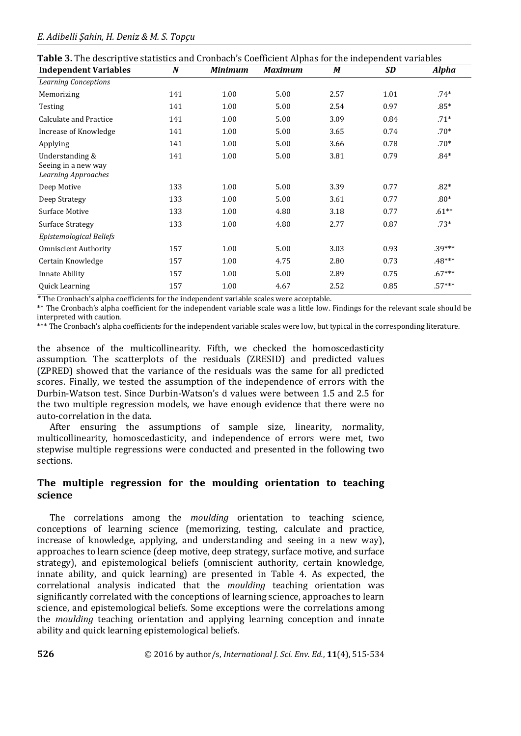| <b>Independent Variables</b>                                         | $\boldsymbol{N}$ | <b>Minimum</b> | <b>Maximum</b> | M    | <b>SD</b> | <b>Alpha</b> |
|----------------------------------------------------------------------|------------------|----------------|----------------|------|-----------|--------------|
| <b>Learning Conceptions</b>                                          |                  |                |                |      |           |              |
| Memorizing                                                           | 141              | 1.00           | 5.00           | 2.57 | 1.01      | $.74*$       |
| Testing                                                              | 141              | 1.00           | 5.00           | 2.54 | 0.97      | $.85*$       |
| Calculate and Practice                                               | 141              | 1.00           | 5.00           | 3.09 | 0.84      | $.71*$       |
| Increase of Knowledge                                                | 141              | 1.00           | 5.00           | 3.65 | 0.74      | $.70*$       |
| Applying                                                             | 141              | 1.00           | 5.00           | 3.66 | 0.78      | $.70*$       |
| Understanding &<br>Seeing in a new way<br><b>Learning Approaches</b> | 141              | 1.00           | 5.00           | 3.81 | 0.79      | $.84*$       |
| Deep Motive                                                          | 133              | 1.00           | 5.00           | 3.39 | 0.77      | $.82*$       |
| Deep Strategy                                                        | 133              | 1.00           | 5.00           | 3.61 | 0.77      | $.80*$       |
| Surface Motive                                                       | 133              | 1.00           | 4.80           | 3.18 | 0.77      | $.61**$      |
| <b>Surface Strategy</b>                                              | 133              | 1.00           | 4.80           | 2.77 | 0.87      | $.73*$       |
| Epistemological Beliefs                                              |                  |                |                |      |           |              |
| <b>Omniscient Authority</b>                                          | 157              | 1.00           | 5.00           | 3.03 | 0.93      | $.39***$     |
| Certain Knowledge                                                    | 157              | 1.00           | 4.75           | 2.80 | 0.73      | $.48***$     |
| <b>Innate Ability</b>                                                | 157              | 1.00           | 5.00           | 2.89 | 0.75      | $.67***$     |
| Quick Learning                                                       | 157              | 1.00           | 4.67           | 2.52 | 0.85      | $.57***$     |

*\** The Cronbach's alpha coefficients for the independent variable scales were acceptable.

\*\* The Cronbach's alpha coefficient for the independent variable scale was a little low. Findings for the relevant scale should be interpreted with caution.

\*\*\* The Cronbach's alpha coefficients for the independent variable scales were low, but typical in the corresponding literature.

the absence of the multicollinearity. Fifth, we checked the homoscedasticity assumption. The scatterplots of the residuals (ZRESID) and predicted values (ZPRED) showed that the variance of the residuals was the same for all predicted scores. Finally, we tested the assumption of the independence of errors with the Durbin-Watson test. Since Durbin-Watson's d values were between 1.5 and 2.5 for the two multiple regression models, we have enough evidence that there were no auto-correlation in the data.

After ensuring the assumptions of sample size, linearity, normality, multicollinearity, homoscedasticity, and independence of errors were met, two stepwise multiple regressions were conducted and presented in the following two sections.

# **The multiple regression for the moulding orientation to teaching science**

The correlations among the *moulding* orientation to teaching science, conceptions of learning science (memorizing, testing, calculate and practice, increase of knowledge, applying, and understanding and seeing in a new way), approaches to learn science (deep motive, deep strategy, surface motive, and surface strategy), and epistemological beliefs (omniscient authority, certain knowledge, innate ability, and quick learning) are presented in Table 4. As expected, the correlational analysis indicated that the *moulding* teaching orientation was significantly correlated with the conceptions of learning science, approaches to learn science, and epistemological beliefs. Some exceptions were the correlations among the *moulding* teaching orientation and applying learning conception and innate ability and quick learning epistemological beliefs.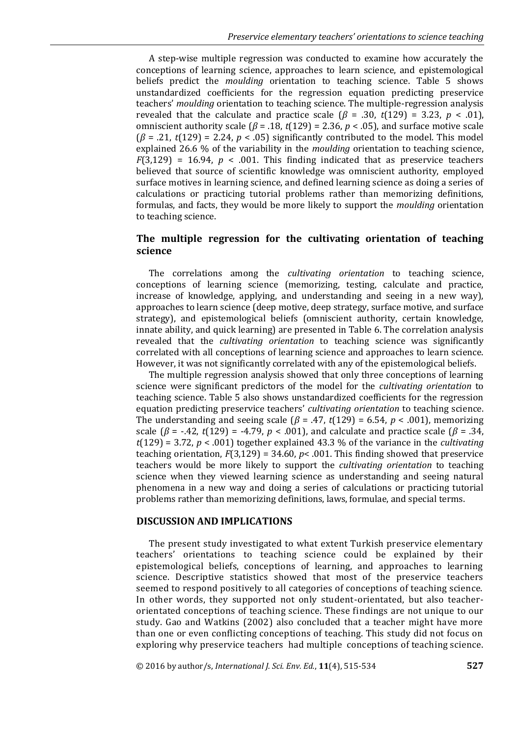A step-wise multiple regression was conducted to examine how accurately the conceptions of learning science, approaches to learn science, and epistemological beliefs predict the *moulding* orientation to teaching science. Table 5 shows unstandardized coefficients for the regression equation predicting preservice teachers' *moulding* orientation to teaching science. The multiple-regression analysis revealed that the calculate and practice scale  $(\beta = .30, t(129) = 3.23, p < .01)$ , omniscient authority scale ( $\beta$  = .18,  $t$ (129) = 2.36,  $p$  < .05), and surface motive scale (*β* = .21, *t*(129) = 2.24, *p* < .05) significantly contributed to the model. This model explained 26.6 % of the variability in the *moulding* orientation to teaching science,  $F(3,129) = 16.94$ ,  $p < .001$ . This finding indicated that as preservice teachers believed that source of scientific knowledge was omniscient authority, employed surface motives in learning science, and defined learning science as doing a series of calculations or practicing tutorial problems rather than memorizing definitions, formulas, and facts, they would be more likely to support the *moulding* orientation to teaching science.

# **The multiple regression for the cultivating orientation of teaching science**

The correlations among the *cultivating orientation* to teaching science, conceptions of learning science (memorizing, testing, calculate and practice, increase of knowledge, applying, and understanding and seeing in a new way), approaches to learn science (deep motive, deep strategy, surface motive, and surface strategy), and epistemological beliefs (omniscient authority, certain knowledge, innate ability, and quick learning) are presented in Table 6. The correlation analysis revealed that the *cultivating orientation* to teaching science was significantly correlated with all conceptions of learning science and approaches to learn science. However, it was not significantly correlated with any of the epistemological beliefs.

The multiple regression analysis showed that only three conceptions of learning science were significant predictors of the model for the *cultivating orientation* to teaching science. Table 5 also shows unstandardized coefficients for the regression equation predicting preservice teachers' *cultivating orientation* to teaching science. The understanding and seeing scale ( $\beta$  = .47,  $t(129)$  = 6.54,  $p$  < .001), memorizing scale ( $β = -0.42$ ,  $t(129) = -0.79$ ,  $p < 0.001$ ), and calculate and practice scale ( $β = 0.34$ , *t*(129) = 3.72, *p* < .001) together explained 43.3 % of the variance in the *cultivating* teaching orientation,  $F(3,129) = 34.60$ ,  $p < .001$ . This finding showed that preservice teachers would be more likely to support the *cultivating orientation* to teaching science when they viewed learning science as understanding and seeing natural phenomena in a new way and doing a series of calculations or practicing tutorial problems rather than memorizing definitions, laws, formulae, and special terms.

#### **DISCUSSION AND IMPLICATIONS**

The present study investigated to what extent Turkish preservice elementary teachers' orientations to teaching science could be explained by their epistemological beliefs, conceptions of learning, and approaches to learning science. Descriptive statistics showed that most of the preservice teachers seemed to respond positively to all categories of conceptions of teaching science. In other words, they supported not only student-orientated, but also teacherorientated conceptions of teaching science. These findings are not unique to our study. Gao and Watkins (2002) also concluded that a teacher might have more than one or even conflicting conceptions of teaching. This study did not focus on exploring why preservice teachers had multiple conceptions of teaching science.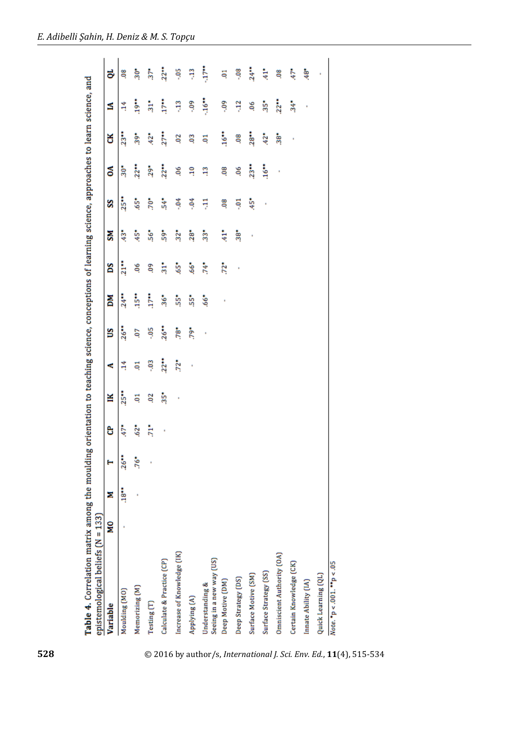| Table 4. Correlation matrix among the moulding orientation to teaching science, conceptions of learning science, approaches to learn science, and |   |                |         |       |                |                   |              |        |                                |                |             |                    |                |                |                |
|---------------------------------------------------------------------------------------------------------------------------------------------------|---|----------------|---------|-------|----------------|-------------------|--------------|--------|--------------------------------|----------------|-------------|--------------------|----------------|----------------|----------------|
| epistemological beliefs (N = 133)                                                                                                                 |   |                |         |       |                |                   |              |        |                                |                |             |                    |                |                |                |
| Variable                                                                                                                                          | ă | Σ              |         | පි    | ¥              | c                 | ឌ            | ă      | Sq                             | šЯ             | S           | కే                 | š              | ₫              | ಕ              |
| Moulding (MO)                                                                                                                                     |   | <b>i</b><br>18 | $26$ ** | $47*$ | $25**$         | 4                 | 26           | $24**$ | $21**$                         | $\ddot{3}$     | $25**$      | $\frac{1}{30}$     | $23**$         | 4              | 8Ö             |
| Memorizing (M)                                                                                                                                    |   |                | $.76*$  | $62*$ | Ę              | Ę                 | δ,           | 15     | ĕ.                             | $\frac{1}{45}$ | $\ddot{5}$  | $22**$             | $39*$          | $19$ **        | $\frac{1}{30}$ |
| Testing (T)                                                                                                                                       |   |                |         | ŧ     | $\overline{0}$ | $-03$             | -95          | $17**$ | eg                             | $56*$          | $.70*$      | $29*$              | $42*$          | $\frac{1}{21}$ | $37*$          |
| Calculate & Practice (CP)                                                                                                                         |   |                |         | ł     | $\ddot{35}$    | $22**$            | 26           | $36*$  | ភ្នំ                           | š,             | $\ddot{54}$ | $22**$             | 27             | i7**           | $22**$         |
| Increase of Knowledge (IK)                                                                                                                        |   |                |         |       |                | $72$ <sup>*</sup> | $78^{\circ}$ | ÷55    | ÷                              | $32*$          | -94         | ĕ                  | $\overline{0}$ | Ę              | šoʻ            |
| Applying (A)                                                                                                                                      |   |                |         |       |                |                   | 79*          | ÷55    | $\ddot{\phantom{0}}^{\bullet}$ | $28^*$         | ३.          | $\frac{1}{2}$      | g              | ę.             | ą              |
| Seeing in a new way (US)<br>Understanding &                                                                                                       |   |                |         |       |                |                   | ł            | $66*$  | ž                              | $\ddot{3}$     | Ę           | ą                  | Ę              | $\frac{4}{3}$  | -17**          |
| Deep Motive (DM)                                                                                                                                  |   |                |         |       |                |                   |              |        | $\ddot{z}$                     | $\frac{1}{41}$ | 8Ò          | 8Ö                 | <b>Sec.</b>    | ę.             | Ę              |
| Deep Strategy (DS)                                                                                                                                |   |                |         |       |                |                   |              |        | ł                              | $rac{1}{38}$   | ដុ          | ě,                 | 8Ò             | 3              | -08            |
| Surface Motive (SM)                                                                                                                               |   |                |         |       |                |                   |              |        |                                |                | $\ddot{45}$ | $23**$             | 28             | ĕ.             | 24             |
| Surface Strategy (SS)                                                                                                                             |   |                |         |       |                |                   |              |        |                                |                |             | $16$ <sup>**</sup> | $42*$          | $35*$          | $\frac{1}{41}$ |
| Omniscient Authority (OA)                                                                                                                         |   |                |         |       |                |                   |              |        |                                |                |             |                    | $38*$          | $22**$         | 8Ò             |
| Certain Knowledge (CK)                                                                                                                            |   |                |         |       |                |                   |              |        |                                |                |             |                    |                | $\frac{4}{34}$ | 47*            |
| Innate Ability (IA)                                                                                                                               |   |                |         |       |                |                   |              |        |                                |                |             |                    |                | ä              | $48*$          |
| Quick Learning (QL)                                                                                                                               |   |                |         |       |                |                   |              |        |                                |                |             |                    |                |                |                |
| Note. *p < .001. **p < .05                                                                                                                        |   |                |         |       |                |                   |              |        |                                |                |             |                    |                |                |                |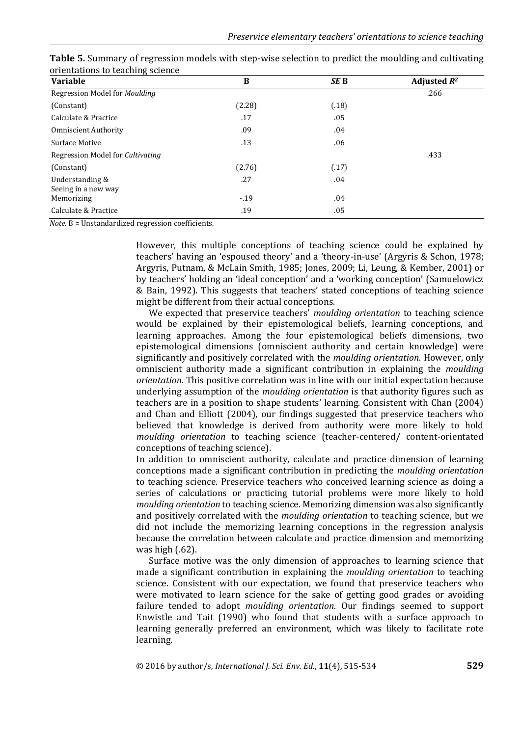| <b>Variable</b>                   | B      | SE B  | Adjusted $R^2$ |
|-----------------------------------|--------|-------|----------------|
| Regression Model for Moulding     |        |       | .266           |
| (Constant)                        | (2.28) | (.18) |                |
| Calculate & Practice              | .17    | .05   |                |
| <b>Omniscient Authority</b>       | .09    | .04   |                |
| Surface Motive                    | .13    | .06   |                |
| Regression Model for Cultivating  |        |       | .433           |
| (Constant)                        | (2.76) | (.17) |                |
| Understanding &                   | .27    | .04   |                |
| Seeing in a new way<br>Memorizing | $-.19$ | .04   |                |
| Calculate & Practice              | .19    | .05   |                |

**Table 5.** Summary of regression models with step-wise selection to predict the moulding and cultivating orientations to teaching science

*Note*. B = Unstandardized regression coefficients.

However, this multiple conceptions of teaching science could be explained by teachers' having an 'espoused theory' and a 'theory-in-use' (Argyris & Schon, 1978; Argyris, Putnam, & McLain Smith, 1985; Jones, 2009; Li, Leung, & Kember, 2001) or by teachers' holding an 'ideal conception' and a 'working conception' (Samuelowicz & Bain, 1992). This suggests that teachers' stated conceptions of teaching science might be different from their actual conceptions.

We expected that preservice teachers' *moulding orientation* to teaching science would be explained by their epistemological beliefs, learning conceptions, and learning approaches. Among the four epistemological beliefs dimensions, two epistemological dimensions (omniscient authority and certain knowledge) were significantly and positively correlated with the *moulding orientation*. However, only omniscient authority made a significant contribution in explaining the *moulding orientation*. This positive correlation was in line with our initial expectation because underlying assumption of the *moulding orientation* is that authority figures such as teachers are in a position to shape students' learning. Consistent with Chan (2004) and Chan and Elliott (2004), our findings suggested that preservice teachers who believed that knowledge is derived from authority were more likely to hold *moulding orientation* to teaching science (teacher-centered/ content-orientated conceptions of teaching science).

In addition to omniscient authority, calculate and practice dimension of learning conceptions made a significant contribution in predicting the *moulding orientation* to teaching science. Preservice teachers who conceived learning science as doing a series of calculations or practicing tutorial problems were more likely to hold *moulding orientation* to teaching science. Memorizing dimension was also significantly and positively correlated with the *moulding orientation* to teaching science, but we did not include the memorizing learning conceptions in the regression analysis because the correlation between calculate and practice dimension and memorizing was high (.62).

Surface motive was the only dimension of approaches to learning science that made a significant contribution in explaining the *moulding orientation* to teaching science. Consistent with our expectation, we found that preservice teachers who were motivated to learn science for the sake of getting good grades or avoiding failure tended to adopt *moulding orientation*. Our findings seemed to support Enwistle and Tait (1990) who found that students with a surface approach to learning generally preferred an environment, which was likely to facilitate rote learning.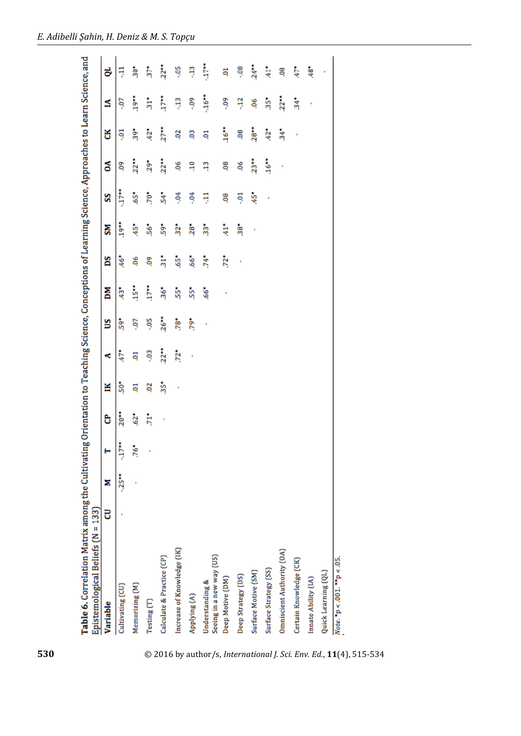| Table 6. Correlation Matrix among the Cultivating Orientation to Teaching Science, Conceptions of Learning Science, Approaches to Learn Science, and |   |                |        |        |                 |               |               |            |                                   |                |            |       |                |                |                |
|------------------------------------------------------------------------------------------------------------------------------------------------------|---|----------------|--------|--------|-----------------|---------------|---------------|------------|-----------------------------------|----------------|------------|-------|----------------|----------------|----------------|
| Epistemological Beliefs (N = 133)                                                                                                                    |   |                |        |        |                 |               |               |            |                                   |                |            |       |                |                |                |
| Variable                                                                                                                                             | 5 | Ξ              | ۳      | පි     | ¥               | ×.            | ឌ             | ă          | Sq                                | ŠΜ             | S          | క     | š              | ₫              | ಕ              |
| Cultivating (CU)                                                                                                                                     |   | $\frac{1}{25}$ | Š      | 20     | ទំ              | 47*           | å             | $\ddot{3}$ | $\ddot{\phantom{0}}\phantom{0}46$ | <b>i</b> 9**   | i<br>E     | SÒ    | ដុ             | Ş.             | Ę              |
| Memorizing (M)                                                                                                                                       |   |                | $.76*$ | $.62*$ | ą               | Ę             | Ş.            | is.        | ĕ.                                | ÷              | $.65*$     | 22    | $39*$          | <b>Ser</b>     | $30*$          |
| Testing (T)                                                                                                                                          |   |                |        | ħ      | $\overline{0}$  | $\frac{3}{2}$ | ăò.           | i7*        | eg                                | $56*$          | $\ddot{5}$ | $29*$ | $\frac{2}{3}$  | $\frac{1}{31}$ | $37*$          |
| Calculate & Practice (CP)                                                                                                                            |   |                |        | ł      | $\frac{35}{25}$ | 22            | 26            | $36*$      | $\frac{1}{31}$                    | ន្លំ           | Š.         | 22    | 27             | i<br>E         | $22**$         |
| Increase of Knowledge [IK]                                                                                                                           |   |                |        |        | ł               | $72*$         | $\frac{3}{2}$ | ភ្នំ       | š,                                | $32*$          | $-04$      | Ğ.    | $\overline{0}$ | Ę              | $\frac{5}{20}$ |
| Applying (A)                                                                                                                                         |   |                |        |        |                 | ł             | $5^*$         | ង្ហែ       | $\ddot{\bm{s}}$                   | $28$ *         | ै          | ą     | g              | ို             | Ę              |
| Seeing in a new way (US)<br>Understanding &                                                                                                          |   |                |        |        |                 |               | ×             | $66*$      | $\ddot{74}$                       | $\frac{3}{3}$  | ş          | ą     | Ę              | -16*           | Ļ              |
| Deep Motive (DM)                                                                                                                                     |   |                |        |        |                 |               |               |            | $72*$                             | ŧ              | 8Ò         | 8Ò    | 16             | ခဲ့            | Ę              |
| Deep Strategy (DS)                                                                                                                                   |   |                |        |        |                 |               |               |            | ł                                 | $\frac{38}{3}$ | ថ្         | 9Ö.   | 8Ò             | ą              | $-08$          |
| Surface Motive (SM)                                                                                                                                  |   |                |        |        |                 |               |               |            |                                   | ł              | ÷          | 23    | 28             | 90.            | 24             |
| Surface Strategy (SS)                                                                                                                                |   |                |        |        |                 |               |               |            |                                   |                | ł          | 16    | $42*$          | $\ddot{35}$ *  | 专              |
| Omniscient Authority (OA)                                                                                                                            |   |                |        |        |                 |               |               |            |                                   |                |            | ł     | $\frac{4}{34}$ | 22             | 8Ò             |
| Certain Knowledge (CK)                                                                                                                               |   |                |        |        |                 |               |               |            |                                   |                |            |       | ł              | $\frac{34}{3}$ | 47*            |
| Innate Ability (IA)                                                                                                                                  |   |                |        |        |                 |               |               |            |                                   |                |            |       |                | ŧ              | $\ddot{a}$     |
| Quick Learning (QL)                                                                                                                                  |   |                |        |        |                 |               |               |            |                                   |                |            |       |                |                |                |
| $Note.$ *p < .001. **p < .05.                                                                                                                        |   |                |        |        |                 |               |               |            |                                   |                |            |       |                |                |                |

**530** © 2016 by author/s, *International J. Sci. Env. Ed.*, **11**(4), 515-534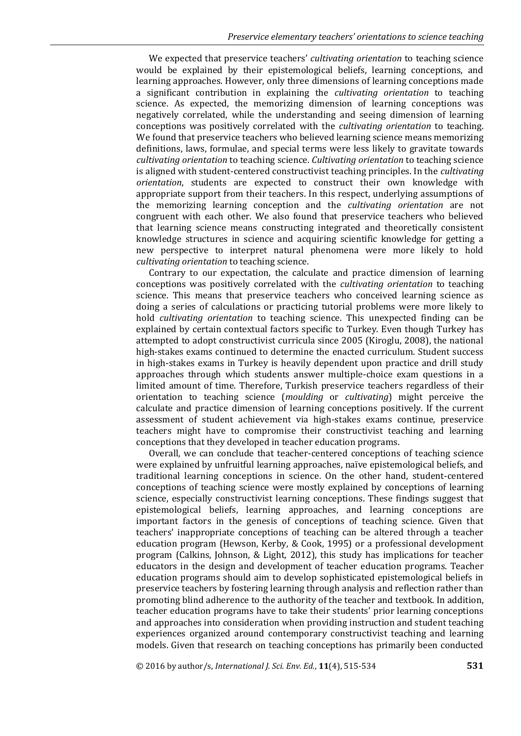We expected that preservice teachers' *cultivating orientation* to teaching science would be explained by their epistemological beliefs, learning conceptions, and learning approaches. However, only three dimensions of learning conceptions made a significant contribution in explaining the *cultivating orientation* to teaching science. As expected, the memorizing dimension of learning conceptions was negatively correlated, while the understanding and seeing dimension of learning conceptions was positively correlated with the *cultivating orientation* to teaching. We found that preservice teachers who believed learning science means memorizing definitions, laws, formulae, and special terms were less likely to gravitate towards *cultivating orientation* to teaching science. *Cultivating orientation* to teaching science is aligned with student-centered constructivist teaching principles. In the *cultivating orientation*, students are expected to construct their own knowledge with appropriate support from their teachers. In this respect, underlying assumptions of the memorizing learning conception and the *cultivating orientation* are not congruent with each other. We also found that preservice teachers who believed that learning science means constructing integrated and theoretically consistent knowledge structures in science and acquiring scientific knowledge for getting a new perspective to interpret natural phenomena were more likely to hold *cultivating orientation* to teaching science.

Contrary to our expectation, the calculate and practice dimension of learning conceptions was positively correlated with the *cultivating orientation* to teaching science. This means that preservice teachers who conceived learning science as doing a series of calculations or practicing tutorial problems were more likely to hold *cultivating orientation* to teaching science. This unexpected finding can be explained by certain contextual factors specific to Turkey. Even though Turkey has attempted to adopt constructivist curricula since 2005 (Kiroglu, 2008), the national high-stakes exams continued to determine the enacted curriculum. Student success in high-stakes exams in Turkey is heavily dependent upon practice and drill study approaches through which students answer multiple-choice exam questions in a limited amount of time. Therefore, Turkish preservice teachers regardless of their orientation to teaching science (*moulding* or *cultivating*) might perceive the calculate and practice dimension of learning conceptions positively. If the current assessment of student achievement via high-stakes exams continue, preservice teachers might have to compromise their constructivist teaching and learning conceptions that they developed in teacher education programs.

Overall, we can conclude that teacher-centered conceptions of teaching science were explained by unfruitful learning approaches, naïve epistemological beliefs, and traditional learning conceptions in science. On the other hand, student-centered conceptions of teaching science were mostly explained by conceptions of learning science, especially constructivist learning conceptions. These findings suggest that epistemological beliefs, learning approaches, and learning conceptions are important factors in the genesis of conceptions of teaching science. Given that teachers' inappropriate conceptions of teaching can be altered through a teacher education program (Hewson, Kerby, & Cook, 1995) or a professional development program (Calkins, Johnson, & Light, 2012), this study has implications for teacher educators in the design and development of teacher education programs. Teacher education programs should aim to develop sophisticated epistemological beliefs in preservice teachers by fostering learning through analysis and reflection rather than promoting blind adherence to the authority of the teacher and textbook. In addition, teacher education programs have to take their students' prior learning conceptions and approaches into consideration when providing instruction and student teaching experiences organized around contemporary constructivist teaching and learning models. Given that research on teaching conceptions has primarily been conducted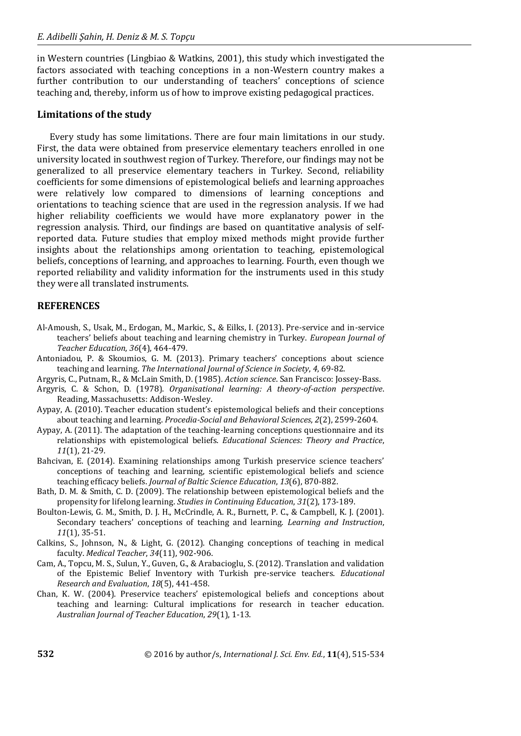in Western countries (Lingbiao & Watkins, 2001), this study which investigated the factors associated with teaching conceptions in a non-Western country makes a further contribution to our understanding of teachers' conceptions of science teaching and, thereby, inform us of how to improve existing pedagogical practices.

#### **Limitations of the study**

Every study has some limitations. There are four main limitations in our study. First, the data were obtained from preservice elementary teachers enrolled in one university located in southwest region of Turkey. Therefore, our findings may not be generalized to all preservice elementary teachers in Turkey. Second, reliability coefficients for some dimensions of epistemological beliefs and learning approaches were relatively low compared to dimensions of learning conceptions and orientations to teaching science that are used in the regression analysis. If we had higher reliability coefficients we would have more explanatory power in the regression analysis. Third, our findings are based on quantitative analysis of selfreported data. Future studies that employ mixed methods might provide further insights about the relationships among orientation to teaching, epistemological beliefs, conceptions of learning, and approaches to learning. Fourth, even though we reported reliability and validity information for the instruments used in this study they were all translated instruments.

# **REFERENCES**

- Al-Amoush, S., Usak, M., Erdogan, M., Markic, S., & Eilks, I. (2013). Pre-service and in-service teachers' beliefs about teaching and learning chemistry in Turkey. *European Journal of Teacher Education*, *36*(4), 464-479.
- Antoniadou, P. & Skoumios, G. M. (2013). Primary teachers' conceptions about science teaching and learning. *The International Journal of Science in Society*, *4*, 69-82.
- Argyris, C., Putnam, R., & McLain Smith, D. (1985). *Action science*. San Francisco: Jossey-Bass.
- Argyris, C. & Schon, D. (1978). *Organisational learning: A theory-of-action perspective*. Reading, Massachusetts: Addison-Wesley.
- Aypay, A. (2010). Teacher education student's epistemological beliefs and their conceptions about teaching and learning. *Procedia-Social and Behavioral Sciences*, *2*(2), 2599-2604.
- Aypay, A. (2011). The adaptation of the teaching-learning conceptions questionnaire and its relationships with epistemological beliefs. *Educational Sciences: Theory and Practice*, *11*(1), 21-29.
- Bahcivan, E. (2014). Examining relationships among Turkish preservice science teachers' conceptions of teaching and learning, scientific epistemological beliefs and science teaching efficacy beliefs. *Journal of Baltic Science Education*, *13*(6), 870-882.
- Bath, D. M. & Smith, C. D. (2009). The relationship between epistemological beliefs and the propensity for lifelong learning. *Studies in Continuing Education*, *31*(2), 173-189.
- Boulton-Lewis, G. M., Smith, D. J. H., McCrindle, A. R., Burnett, P. C., & Campbell, K. J. (2001). Secondary teachers' conceptions of teaching and learning. *Learning and Instruction*, *11*(1), 35-51.
- Calkins, S., Johnson, N., & Light, G. (2012). Changing conceptions of teaching in medical faculty. *Medical Teacher*, *34*(11), 902-906.
- Cam, A., Topcu, M. S., Sulun, Y., Guven, G., & Arabacioglu, S. (2012). Translation and validation of the Epistemic Belief Inventory with Turkish pre-service teachers. *Educational Research and Evaluation*, *18*(5), 441-458.
- Chan, K. W. (2004). Preservice teachers' epistemological beliefs and conceptions about teaching and learning: Cultural implications for research in teacher education. *Australian Journal of Teacher Education*, *29*(1), 1-13.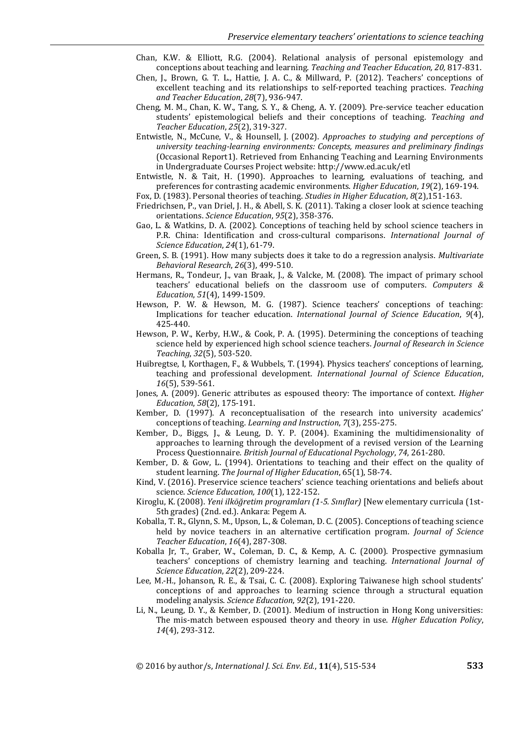- Chan, K.W. & Elliott, R.G. (2004). Relational analysis of personal epistemology and conceptions about teaching and learning. *Teaching and Teacher Education, 20,* 817-831.
- Chen, J., Brown, G. T. L., Hattie, J. A. C., & Millward, P. (2012). Teachers' conceptions of excellent teaching and its relationships to self-reported teaching practices. *Teaching and Teacher Education*, *28*(7), 936-947.
- Cheng, M. M., Chan, K. W., Tang, S. Y., & Cheng, A. Y. (2009). Pre-service teacher education students' epistemological beliefs and their conceptions of teaching. *Teaching and Teacher Education*, *25*(2), 319-327.
- Entwistle, N., McCune, V., & Hounsell, J. (2002). *Approaches to studying and perceptions of university teaching-learning environments: Concepts, measures and preliminary findings*  (Occasional Report1). Retrieved from Enhancing Teaching and Learning Environments in Undergraduate Courses Project website: http://www.ed.ac.uk/etl
- Entwistle, N. & Tait, H. (1990). Approaches to learning, evaluations of teaching, and preferences for contrasting academic environments. *Higher Education*, *19*(2), 169-194.

Fox, D. (1983). Personal theories of teaching. *Studies in Higher Education*, *8*(2),151-163.

- Friedrichsen, P., van Driel, J. H., & Abell, S. K. (2011). Taking a closer look at science teaching orientations. *Science Education*, *95*(2), 358-376.
- Gao, L. & Watkins, D. A. (2002). Conceptions of teaching held by school science teachers in P.R. China: Identification and cross-cultural comparisons. *International Journal of Science Education*, *24*(1), 61-79.
- Green, S. B. (1991). How many subjects does it take to do a regression analysis. *Multivariate Behavioral Research*, *26*(3), 499-510.
- Hermans, R., Tondeur, J., van Braak, J., & Valcke, M. (2008). The impact of primary school teachers' educational beliefs on the classroom use of computers. *Computers & Education*, *51*(4), 1499-1509.
- Hewson, P. W. & Hewson, M. G. (1987). Science teachers' conceptions of teaching: Implications for teacher education. *International Journal of Science Education*, *9*(4), 425-440.
- Hewson, P. W., Kerby, H.W., & Cook, P. A. (1995). Determining the conceptions of teaching science held by experienced high school science teachers. *Journal of Research in Science Teaching*, *32*(5), 503-520.
- Huibregtse, I, Korthagen, F., & Wubbels, T. (1994). Physics teachers' conceptions of learning, teaching and professional development. *International Journal of Science Education*, *16*(5), 539-561.
- Jones, A. (2009). Generic attributes as espoused theory: The importance of context. *Higher Education*, *58*(2), 175-191.
- Kember, D. (1997). A reconceptualisation of the research into university academics' conceptions of teaching. *Learning and Instruction*, *7*(3), 255-275.
- Kember, D., Biggs, J., & Leung, D. Y. P. (2004). Examining the multidimensionality of approaches to learning through the development of a revised version of the Learning Process Questionnaire. *British Journal of Educational Psychology*, *74*, 261-280.
- Kember, D. & Gow, L. (1994). Orientations to teaching and their effect on the quality of student learning. *The Journal of Higher Education*, 65(1), 58-74.
- Kind, V. (2016). Preservice science teachers' science teaching orientations and beliefs about science. *Science Education, 100*(1), 122-152.
- Kiroglu, K. (2008). *Yeni ilköğretim programları (1-5. Sınıflar)* [New elementary curricula (1st-5th grades) (2nd. ed.). Ankara: Pegem A.
- Koballa, T. R., Glynn, S. M., Upson, L., & Coleman, D. C. (2005). Conceptions of teaching science held by novice teachers in an alternative certification program. *Journal of Science Teacher Education*, *16*(4), 287-308.
- Koballa Jr, T., Graber, W., Coleman, D. C., & Kemp, A. C. (2000). Prospective gymnasium teachers' conceptions of chemistry learning and teaching. *International Journal of Science Education*, *22*(2), 209-224.
- Lee, M.-H., Johanson, R. E., & Tsai, C. C. (2008). Exploring Taiwanese high school students' conceptions of and approaches to learning science through a structural equation modeling analysis. *Science Education*, *92*(2), 191-220.
- Li, N., Leung, D. Y., & Kember, D. (2001). Medium of instruction in Hong Kong universities: The mis-match between espoused theory and theory in use. *Higher Education Policy*, *14*(4), 293-312.